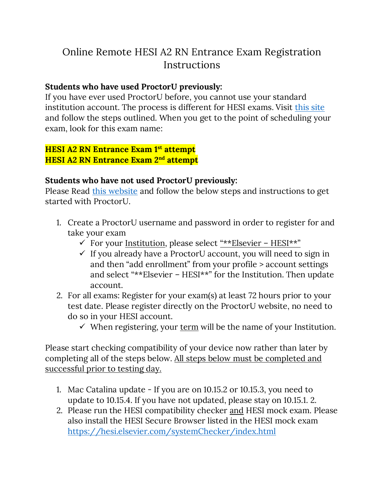# Online Remote HESI A2 RN Entrance Exam Registration Instructions

### **Students who have used ProctorU previously:**

If you have ever used ProctorU before, you cannot use your standard institution account. The process is different for HESI exams. Visit [this site](https://www.proctoru.com/portal/elsevier-hesi) and follow the steps outlined. When you get to the point of scheduling your exam, look for this exam name:

### **HESI A2 RN Entrance Exam 1st attempt HESI A2 RN Entrance Exam 2nd attempt**

### **Students who have not used ProctorU previously:**

Please Read [this website](https://www.proctoru.com/portal/elsevier-hesi) and follow the below steps and instructions to get started with ProctorU.

- 1. Create a ProctorU username and password in order to register for and take your exam
	- ✓ For your Institution, please select "\*\*Elsevier HESI\*\*"
	- $\checkmark$  If you already have a ProctorU account, you will need to sign in and then "add enrollment" from your profile > account settings and select "\*\*Elsevier – HESI\*\*" for the Institution. Then update account.
- 2. For all exams: Register for your exam(s) at least 72 hours prior to your test date. Please register directly on the ProctorU website, no need to do so in your HESI account.
	- $\checkmark$  When registering, your <u>term</u> will be the name of your Institution.

Please start checking compatibility of your device now rather than later by completing all of the steps below. All steps below must be completed and successful prior to testing day.

- 1. Mac Catalina update If you are on 10.15.2 or 10.15.3, you need to update to 10.15.4. If you have not updated, please stay on 10.15.1. 2.
- 2. Please run the HESI compatibility checker and HESI mock exam. Please also install the HESI Secure Browser listed in the HESI mock exam <https://hesi.elsevier.com/systemChecker/index.html>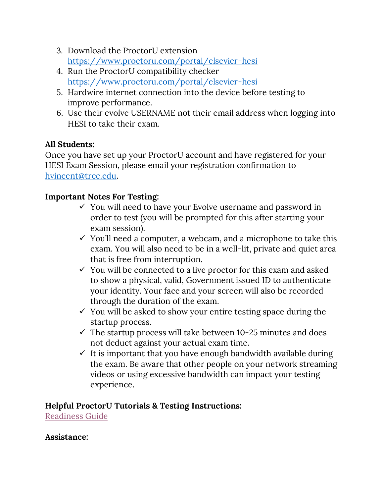- 3. Download the ProctorU extension <https://www.proctoru.com/portal/elsevier-hesi>
- 4. Run the ProctorU compatibility checker <https://www.proctoru.com/portal/elsevier-hesi>
- 5. Hardwire internet connection into the device before testing to improve performance.
- 6. Use their evolve USERNAME not their email address when logging into HESI to take their exam.

# **All Students:**

Once you have set up your ProctorU account and have registered for your HESI Exam Session, please email your registration confirmation to [hvincent@trcc.edu.](mailto:hvincent@trcc.edu)

## **Important Notes For Testing:**

- $\checkmark$  You will need to have your Evolve username and password in order to test (you will be prompted for this after starting your exam session).
- $\checkmark$  You'll need a computer, a webcam, and a microphone to take this exam. You will also need to be in a well-lit, private and quiet area that is free from interruption.
- $\checkmark$  You will be connected to a live proctor for this exam and asked to show a physical, valid, Government issued ID to authenticate your identity. Your face and your screen will also be recorded through the duration of the exam.
- $\checkmark$  You will be asked to show your entire testing space during the startup process.
- $\checkmark$  The startup process will take between 10-25 minutes and does not deduct against your actual exam time.
- $\checkmark$  It is important that you have enough bandwidth available during the exam. Be aware that other people on your network streaming videos or using excessive bandwidth can impact your testing experience.

### **Helpful ProctorU Tutorials & Testing Instructions:**

[Readiness Guide](file:///C:/Users/hvincent/Downloads/Record+%20Readiness%20Document.pdf)

#### **Assistance:**